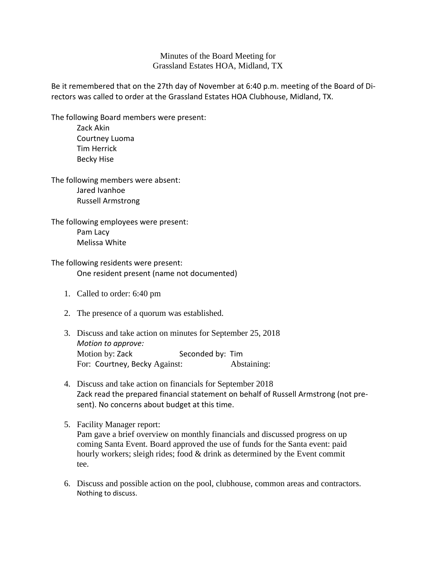## Minutes of the Board Meeting for Grassland Estates HOA, Midland, TX

Be it remembered that on the 27th day of November at 6:40 p.m. meeting of the Board of Directors was called to order at the Grassland Estates HOA Clubhouse, Midland, TX.

The following Board members were present:

Zack Akin Courtney Luoma Tim Herrick Becky Hise

The following members were absent: Jared Ivanhoe Russell Armstrong

The following employees were present: Pam Lacy Melissa White

## The following residents were present: One resident present (name not documented)

- 1. Called to order: 6:40 pm
- 2. The presence of a quorum was established.
- 3. Discuss and take action on minutes for September 25, 2018 *Motion to approve:* Motion by: Zack Seconded by: Tim For: Courtney, Becky Against: Abstaining:
- 4. Discuss and take action on financials for September 2018 Zack read the prepared financial statement on behalf of Russell Armstrong (not present). No concerns about budget at this time.
- 5. Facility Manager report:

Pam gave a brief overview on monthly financials and discussed progress on up coming Santa Event. Board approved the use of funds for the Santa event: paid hourly workers; sleigh rides; food & drink as determined by the Event commit tee.

6. Discuss and possible action on the pool, clubhouse, common areas and contractors. Nothing to discuss.